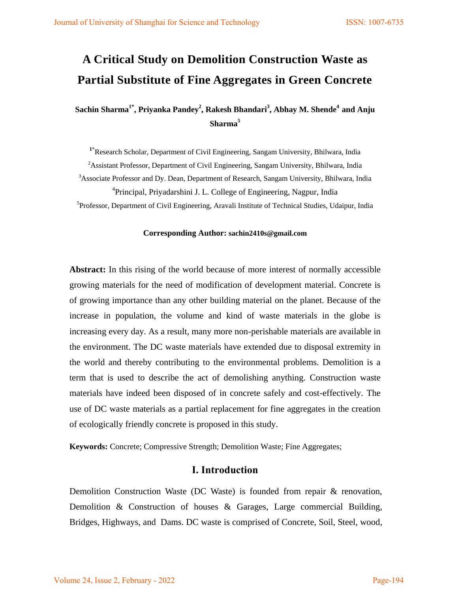# **A Critical Study on Demolition Construction Waste as Partial Substitute of Fine Aggregates in Green Concrete**

**Sachin Sharma1\* , Priyanka Pandey<sup>2</sup> , Rakesh Bhandari<sup>3</sup> , Abhay M. Shende<sup>4</sup>and Anju Sharma<sup>5</sup>**

**<sup>1</sup>**\*Research Scholar, Department of Civil Engineering, Sangam University, Bhilwara, India

<sup>2</sup>Assistant Professor, Department of Civil Engineering, Sangam University, Bhilwara, India

<sup>3</sup>Associate Professor and Dy. Dean, Department of Research, Sangam University, Bhilwara, India <sup>4</sup>Principal, Priyadarshini J. L. College of Engineering, Nagpur, India

<sup>5</sup>Professor, Department of Civil Engineering, Aravali Institute of Technical Studies, Udaipur, India

#### **Corresponding Author: sachin2410s@gmail.com**

**Abstract:** In this rising of the world because of more interest of normally accessible growing materials for the need of modification of development material. Concrete is of growing importance than any other building material on the planet. Because of the increase in population, the volume and kind of waste materials in the globe is increasing every day. As a result, many more non-perishable materials are available in the environment. The DC waste materials have extended due to disposal extremity in the world and thereby contributing to the environmental problems. Demolition is a term that is used to describe the act of demolishing anything. Construction waste materials have indeed been disposed of in concrete safely and cost-effectively. The use of DC waste materials as a partial replacement for fine aggregates in the creation of ecologically friendly concrete is proposed in this study.

**Keywords:** Concrete; Compressive Strength; Demolition Waste; Fine Aggregates;

#### **I. Introduction**

Demolition Construction Waste (DC Waste) is founded from repair & renovation, Demolition & Construction of houses & Garages, Large commercial Building, Bridges, Highways, and Dams. DC waste is comprised of Concrete, Soil, Steel, wood,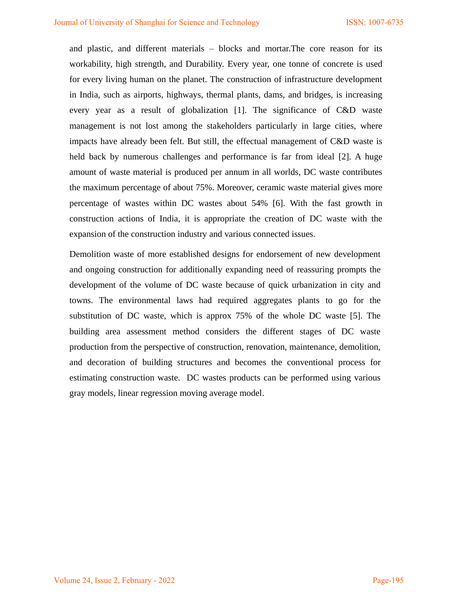and plastic, and different materials – blocks and mortar.The core reason for its workability, high strength, and Durability. Every year, one tonne of concrete is used for every living human on the planet. The construction of infrastructure development in India, such as airports, highways, thermal plants, dams, and bridges, is increasing every year as a result of globalization [1]. The significance of C&D waste management is not lost among the stakeholders particularly in large cities, where impacts have already been felt. But still, the effectual management of C&D waste is held back by numerous challenges and performance is far from ideal [2]. A huge amount of waste material is produced per annum in all worlds, DC waste contributes the maximum percentage of about 75%. Moreover, ceramic waste material gives more percentage of wastes within DC wastes about 54% [6]. With the fast growth in construction actions of India, it is appropriate the creation of DC waste with the expansion of the construction industry and various connected issues.

Demolition waste of more established designs for endorsement of new development and ongoing construction for additionally expanding need of reassuring prompts the development of the volume of DC waste because of quick urbanization in city and towns. The environmental laws had required aggregates plants to go for the substitution of DC waste, which is approx 75% of the whole DC waste [5]. The building area assessment method considers the different stages of DC waste production from the perspective of construction, renovation, maintenance, demolition, and decoration of building structures and becomes the conventional process for estimating construction waste. DC wastes products can be performed using various gray models, linear regression moving average model.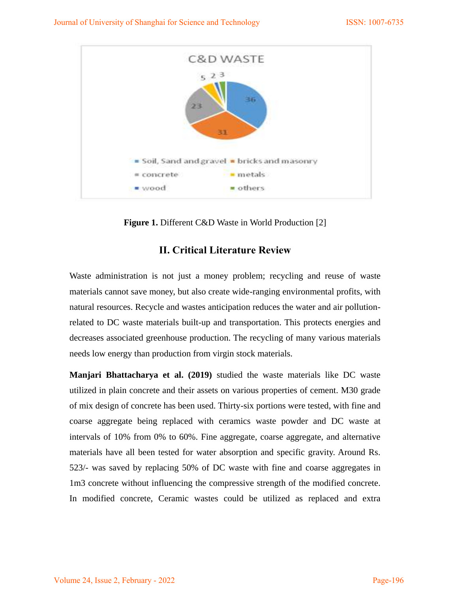

Figure 1. Different C&D Waste in World Production [2]

# **II. Critical Literature Review**

Waste administration is not just a money problem; recycling and reuse of waste materials cannot save money, but also create wide-ranging environmental profits, with natural resources. Recycle and wastes anticipation reduces the water and air pollutionrelated to DC waste materials built-up and transportation. This protects energies and decreases associated greenhouse production. The recycling of many various materials needs low energy than production from virgin stock materials.

**Manjari Bhattacharya et al. (2019)** studied the waste materials like DC waste utilized in plain concrete and their assets on various properties of cement. M30 grade of mix design of concrete has been used. Thirty-six portions were tested, with fine and coarse aggregate being replaced with ceramics waste powder and DC waste at intervals of 10% from 0% to 60%. Fine aggregate, coarse aggregate, and alternative materials have all been tested for water absorption and specific gravity. Around Rs. 523/- was saved by replacing 50% of DC waste with fine and coarse aggregates in 1m3 concrete without influencing the compressive strength of the modified concrete. In modified concrete, Ceramic wastes could be utilized as replaced and extra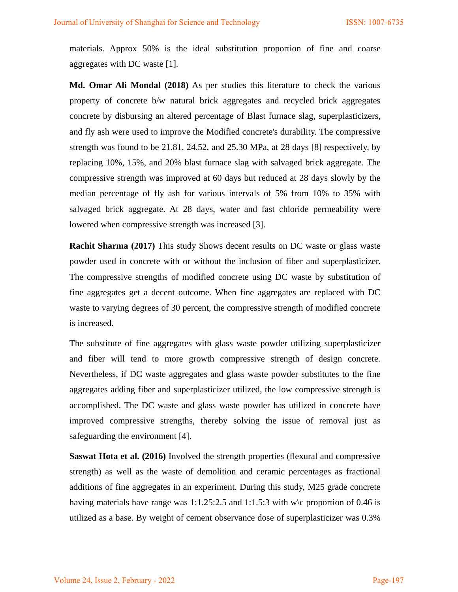materials. Approx 50% is the ideal substitution proportion of fine and coarse aggregates with DC waste [1].

**Md. Omar Ali Mondal (2018)** As per studies this literature to check the various property of concrete b/w natural brick aggregates and recycled brick aggregates concrete by disbursing an altered percentage of Blast furnace slag, superplasticizers, and fly ash were used to improve the Modified concrete's durability. The compressive strength was found to be 21.81, 24.52, and 25.30 MPa, at 28 days [8] respectively, by replacing 10%, 15%, and 20% blast furnace slag with salvaged brick aggregate. The compressive strength was improved at 60 days but reduced at 28 days slowly by the median percentage of fly ash for various intervals of 5% from 10% to 35% with salvaged brick aggregate. At 28 days, water and fast chloride permeability were lowered when compressive strength was increased [3].

**Rachit Sharma (2017)** This study Shows decent results on DC waste or glass waste powder used in concrete with or without the inclusion of fiber and superplasticizer. The compressive strengths of modified concrete using DC waste by substitution of fine aggregates get a decent outcome. When fine aggregates are replaced with DC waste to varying degrees of 30 percent, the compressive strength of modified concrete is increased.

The substitute of fine aggregates with glass waste powder utilizing superplasticizer and fiber will tend to more growth compressive strength of design concrete. Nevertheless, if DC waste aggregates and glass waste powder substitutes to the fine aggregates adding fiber and superplasticizer utilized, the low compressive strength is accomplished. The DC waste and glass waste powder has utilized in concrete have improved compressive strengths, thereby solving the issue of removal just as safeguarding the environment [4].

**Saswat Hota et al. (2016)** Involved the strength properties (flexural and compressive strength) as well as the waste of demolition and ceramic percentages as fractional additions of fine aggregates in an experiment. During this study, M25 grade concrete having materials have range was 1:1.25:2.5 and 1:1.5:3 with w $\c$  proportion of 0.46 is utilized as a base. By weight of cement observance dose of superplasticizer was 0.3%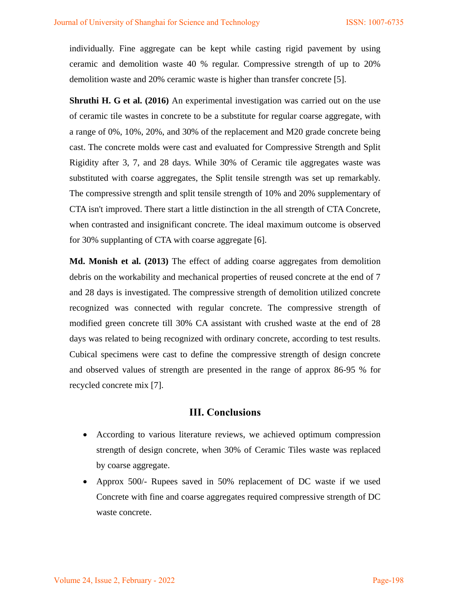individually. Fine aggregate can be kept while casting rigid pavement by using ceramic and demolition waste 40 % regular. Compressive strength of up to 20% demolition waste and 20% ceramic waste is higher than transfer concrete [5].

**Shruthi H. G et al. (2016)** An experimental investigation was carried out on the use of ceramic tile wastes in concrete to be a substitute for regular coarse aggregate, with a range of 0%, 10%, 20%, and 30% of the replacement and M20 grade concrete being cast. The concrete molds were cast and evaluated for Compressive Strength and Split Rigidity after 3, 7, and 28 days. While 30% of Ceramic tile aggregates waste was substituted with coarse aggregates, the Split tensile strength was set up remarkably. The compressive strength and split tensile strength of 10% and 20% supplementary of CTA isn't improved. There start a little distinction in the all strength of CTA Concrete, when contrasted and insignificant concrete. The ideal maximum outcome is observed for 30% supplanting of CTA with coarse aggregate [6].

**Md. Monish et al. (2013)** The effect of adding coarse aggregates from demolition debris on the workability and mechanical properties of reused concrete at the end of 7 and 28 days is investigated. The compressive strength of demolition utilized concrete recognized was connected with regular concrete. The compressive strength of modified green concrete till 30% CA assistant with crushed waste at the end of 28 days was related to being recognized with ordinary concrete, according to test results. Cubical specimens were cast to define the compressive strength of design concrete and observed values of strength are presented in the range of approx 86-95 % for recycled concrete mix [7].

## **III. Conclusions**

- According to various literature reviews, we achieved optimum compression strength of design concrete, when 30% of Ceramic Tiles waste was replaced by coarse aggregate.
- Approx 500/- Rupees saved in 50% replacement of DC waste if we used Concrete with fine and coarse aggregates required compressive strength of DC waste concrete.